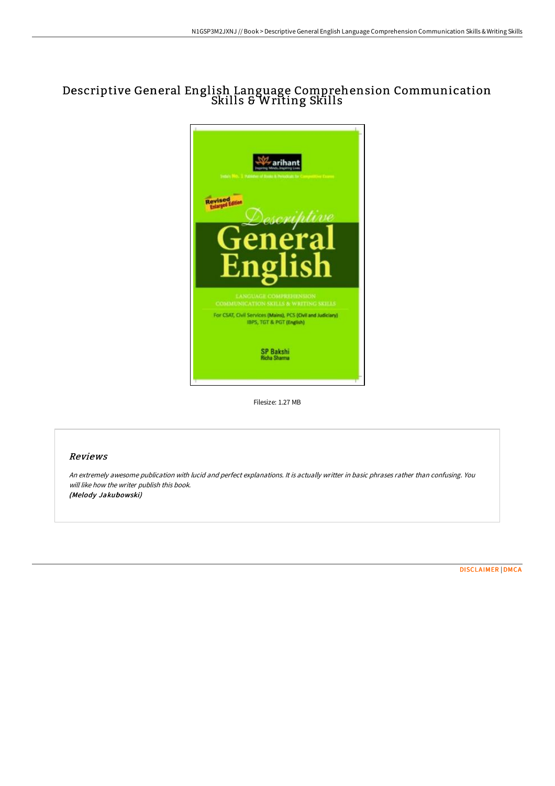## Descriptive General English Language Comprehension Communication Skills & Writing Skills



Filesize: 1.27 MB

## Reviews

An extremely awesome publication with lucid and perfect explanations. It is actually writter in basic phrases rather than confusing. You will like how the writer publish this book. (Melody Jakubowski)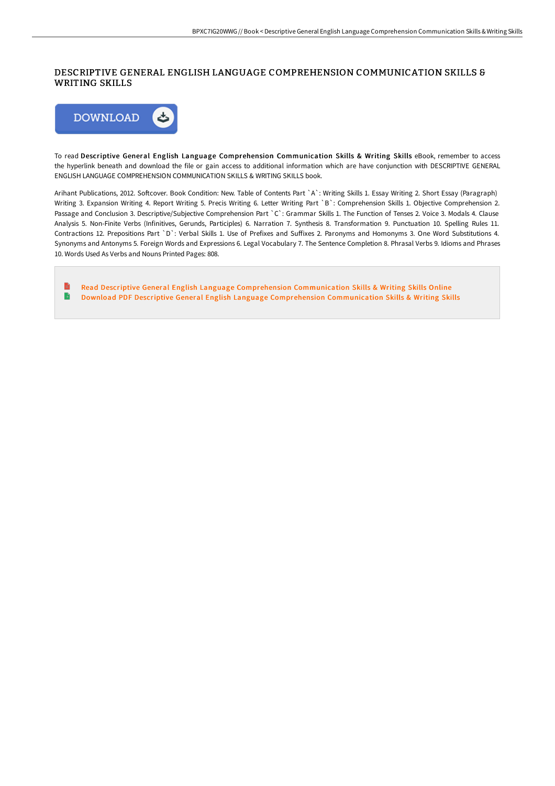## DESCRIPTIVE GENERAL ENGLISH LANGUAGE COMPREHENSION COMMUNICATION SKILLS & WRITING SKILLS



To read Descriptive General English Language Comprehension Communication Skills & Writing Skills eBook, remember to access the hyperlink beneath and download the file or gain access to additional information which are have conjunction with DESCRIPTIVE GENERAL ENGLISH LANGUAGE COMPREHENSION COMMUNICATION SKILLS & WRITING SKILLS book.

Arihant Publications, 2012. Softcover. Book Condition: New. Table of Contents Part `A`: Writing Skills 1. Essay Writing 2. Short Essay (Paragraph) Writing 3. Expansion Writing 4. Report Writing 5. Precis Writing 6. Letter Writing Part `B`: Comprehension Skills 1. Objective Comprehension 2. Passage and Conclusion 3. Descriptive/Subjective Comprehension Part `C`: Grammar Skills 1. The Function of Tenses 2. Voice 3. Modals 4. Clause Analysis 5. Non-Finite Verbs (Infinitives, Gerunds, Participles) 6. Narration 7. Synthesis 8. Transformation 9. Punctuation 10. Spelling Rules 11. Contractions 12. Prepositions Part `D`: Verbal Skills 1. Use of Prefixes and Suffixes 2. Paronyms and Homonyms 3. One Word Substitutions 4. Synonyms and Antonyms 5. Foreign Words and Expressions 6. Legal Vocabulary 7. The Sentence Completion 8. Phrasal Verbs 9. Idioms and Phrases 10. Words Used As Verbs and Nouns Printed Pages: 808.

B Read Descriptive General English Language Comprehension [Communication](http://albedo.media/descriptive-general-english-language-comprehensi.html) Skills & Writing Skills Online  $\blacktriangleright$ Download PDF Descriptive General English Language Comprehension [Communication](http://albedo.media/descriptive-general-english-language-comprehensi.html) Skills & Writing Skills